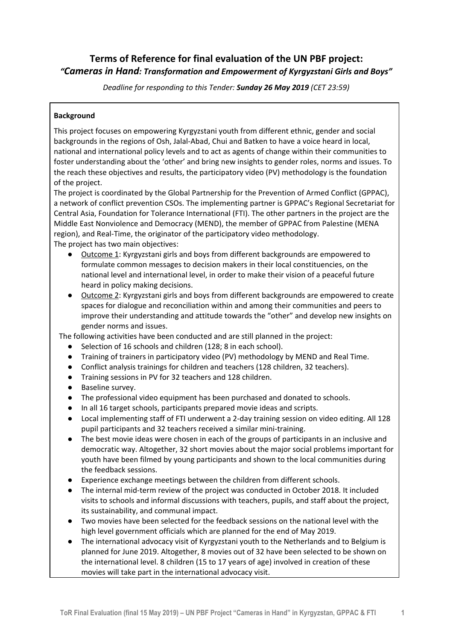# **Terms of Reference for final evaluation of the UN PBF project:** *"Cameras in Hand: Transformation and Empowerment of Kyrgyzstani Girls and Boys"*

*Deadline for responding to this Tender: Sunday 26 May 2019 (CET 23:59)*

## **Background**

This project focuses on empowering Kyrgyzstani youth from different ethnic, gender and social backgrounds in the regions of Osh, Jalal-Abad, Chui and Batken to have a voice heard in local, national and international policy levels and to act as agents of change within their communities to foster understanding about the 'other' and bring new insights to gender roles, norms and issues. To the reach these objectives and results, the participatory video (PV) methodology is the foundation of the project.

The project is coordinated by the Global Partnership for the Prevention of Armed Conflict (GPPAC), a network of conflict prevention CSOs. The implementing partner is GPPAC's Regional Secretariat for Central Asia, Foundation for Tolerance International (FTI). The other partners in the project are the Middle East Nonviolence and Democracy (MEND), the member of GPPAC from Palestine (MENA region), and Real-Time, the originator of the participatory video methodology. The project has two main objectives:

- Outcome 1: Kyrgyzstani girls and boys from different backgrounds are empowered to formulate common messages to decision makers in their local constituencies, on the national level and international level, in order to make their vision of a peaceful future heard in policy making decisions.
- Outcome 2: Kyrgyzstani girls and boys from different backgrounds are empowered to create spaces for dialogue and reconciliation within and among their communities and peers to improve their understanding and attitude towards the "other" and develop new insights on gender norms and issues.

The following activities have been conducted and are still planned in the project:

- Selection of 16 schools and children (128; 8 in each school).
- Training of trainers in participatory video (PV) methodology by MEND and Real Time.
- Conflict analysis trainings for children and teachers (128 children, 32 teachers).
- Training sessions in PV for 32 teachers and 128 children.
- Baseline survey.
- The professional video equipment has been purchased and donated to schools.
- In all 16 target schools, participants prepared movie ideas and scripts.
- Local implementing staff of FTI underwent a 2-day training session on video editing. All 128 pupil participants and 32 teachers received a similar mini-training.
- The best movie ideas were chosen in each of the groups of participants in an inclusive and democratic way. Altogether, 32 short movies about the major social problems important for youth have been filmed by young participants and shown to the local communities during the feedback sessions.
- Experience exchange meetings between the children from different schools.
- The internal mid-term review of the project was conducted in October 2018. It included visits to schools and informal discussions with teachers, pupils, and staff about the project, its sustainability, and communal impact.
- Two movies have been selected for the feedback sessions on the national level with the high level government officials which are planned for the end of May 2019.
- The international advocacy visit of Kyrgyzstani youth to the Netherlands and to Belgium is planned for June 2019. Altogether, 8 movies out of 32 have been selected to be shown on the international level. 8 children (15 to 17 years of age) involved in creation of these movies will take part in the international advocacy visit.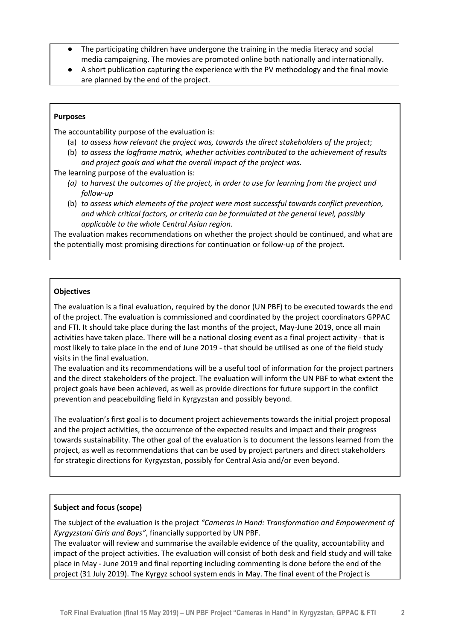- The participating children have undergone the training in the media literacy and social media campaigning. The movies are promoted online both nationally and internationally.
- A short publication capturing the experience with the PV methodology and the final movie are planned by the end of the project.

#### **Purposes**

The accountability purpose of the evaluation is:

- (a) *to assess how relevant the project was, towards the direct stakeholders of the project*;
- (b) *to assess the logframe matrix, whether activities contributed to the achievement of results and project goals and what the overall impact of the project was*.

The learning purpose of the evaluation is:

- *(a) to harvest the outcomes of the project, in order to use for learning from the project and follow-up*
- (b) *to assess which elements of the project were most successful towards conflict prevention, and which critical factors, or criteria can be formulated at the general level, possibly applicable to the whole Central Asian region.*

The evaluation makes recommendations on whether the project should be continued, and what are the potentially most promising directions for continuation or follow-up of the project.

#### **Objectives**

The evaluation is a final evaluation, required by the donor (UN PBF) to be executed towards the end of the project. The evaluation is commissioned and coordinated by the project coordinators GPPAC and FTI. It should take place during the last months of the project, May-June 2019, once all main activities have taken place. There will be a national closing event as a final project activity - that is most likely to take place in the end of June 2019 - that should be utilised as one of the field study visits in the final evaluation.

The evaluation and its recommendations will be a useful tool of information for the project partners and the direct stakeholders of the project. The evaluation will inform the UN PBF to what extent the project goals have been achieved, as well as provide directions for future support in the conflict prevention and peacebuilding field in Kyrgyzstan and possibly beyond.

The evaluation's first goal is to document project achievements towards the initial project proposal and the project activities, the occurrence of the expected results and impact and their progress towards sustainability. The other goal of the evaluation is to document the lessons learned from the project, as well as recommendations that can be used by project partners and direct stakeholders for strategic directions for Kyrgyzstan, possibly for Central Asia and/or even beyond.

## **Subject and focus (scope)**

The subject of the evaluation is the project *"Cameras in Hand: Transformation and Empowerment of Kyrgyzstani Girls and Boys"*, financially supported by UN PBF.

The evaluator will review and summarise the available evidence of the quality, accountability and impact of the project activities. The evaluation will consist of both desk and field study and will take place in May - June 2019 and final reporting including commenting is done before the end of the project (31 July 2019). The Kyrgyz school system ends in May. The final event of the Project is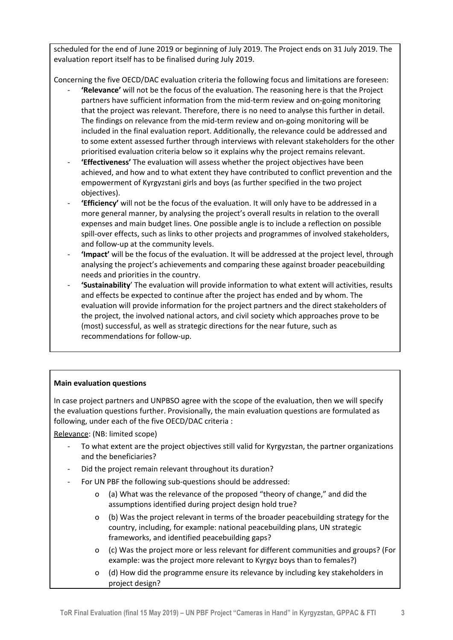scheduled for the end of June 2019 or beginning of July 2019. The Project ends on 31 July 2019. The evaluation report itself has to be finalised during July 2019.

Concerning the five OECD/DAC evaluation criteria the following focus and limitations are foreseen:

- **'Relevance'** will not be the focus of the evaluation. The reasoning here is that the Project partners have sufficient information from the mid-term review and on-going monitoring that the project was relevant. Therefore, there is no need to analyse this further in detail. The findings on relevance from the mid-term review and on-going monitoring will be included in the final evaluation report. Additionally, the relevance could be addressed and to some extent assessed further through interviews with relevant stakeholders for the other prioritised evaluation criteria below so it explains why the project remains relevant.
- **'Effectiveness'** The evaluation will assess whether the project objectives have been achieved, and how and to what extent they have contributed to conflict prevention and the empowerment of Kyrgyzstani girls and boys (as further specified in the two project objectives).
- **'Efficiency'** will not be the focus of the evaluation. It will only have to be addressed in a more general manner, by analysing the project's overall results in relation to the overall expenses and main budget lines. One possible angle is to include a reflection on possible spill-over effects, such as links to other projects and programmes of involved stakeholders, and follow-up at the community levels.
- **'Impact'** will be the focus of the evaluation. It will be addressed at the project level, through analysing the project's achievements and comparing these against broader peacebuilding needs and priorities in the country.
- **'Sustainability**' The evaluation will provide information to what extent will activities, results and effects be expected to continue after the project has ended and by whom. The evaluation will provide information for the project partners and the direct stakeholders of the project, the involved national actors, and civil society which approaches prove to be (most) successful, as well as strategic directions for the near future, such as recommendations for follow-up.

## **Main evaluation questions**

In case project partners and UNPBSO agree with the scope of the evaluation, then we will specify the evaluation questions further. Provisionally, the main evaluation questions are formulated as following, under each of the five OECD/DAC criteria :

Relevance: (NB: limited scope)

- To what extent are the project objectives still valid for Kyrgyzstan, the partner organizations and the beneficiaries?
- Did the project remain relevant throughout its duration?
- For UN PBF the following sub-questions should be addressed:
	- o (a) What was the relevance of the proposed "theory of change," and did the assumptions identified during project design hold true?
	- o (b) Was the project relevant in terms of the broader peacebuilding strategy for the country, including, for example: national peacebuilding plans, UN strategic frameworks, and identified peacebuilding gaps?
	- o (c) Was the project more or less relevant for different communities and groups? (For example: was the project more relevant to Kyrgyz boys than to females?)
	- o (d) How did the programme ensure its relevance by including key stakeholders in project design?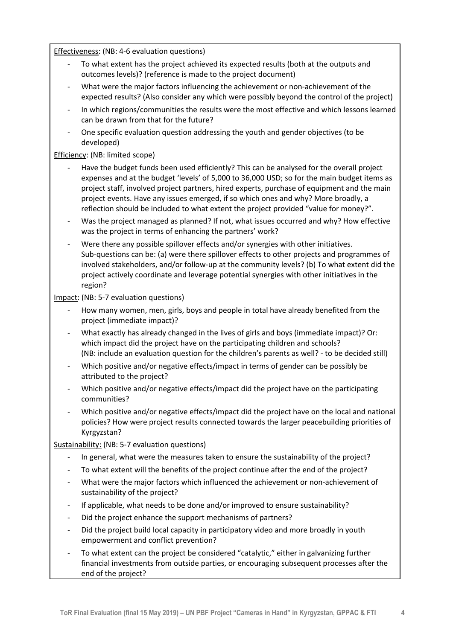Effectiveness: (NB: 4-6 evaluation questions)

- To what extent has the project achieved its expected results (both at the outputs and outcomes levels)? (reference is made to the project document)
- What were the major factors influencing the achievement or non-achievement of the expected results? (Also consider any which were possibly beyond the control of the project)
- In which regions/communities the results were the most effective and which lessons learned can be drawn from that for the future?
- One specific evaluation question addressing the youth and gender objectives (to be developed)

Efficiency: (NB: limited scope)

- Have the budget funds been used efficiently? This can be analysed for the overall project expenses and at the budget 'levels' of 5,000 to 36,000 USD; so for the main budget items as project staff, involved project partners, hired experts, purchase of equipment and the main project events. Have any issues emerged, if so which ones and why? More broadly, a reflection should be included to what extent the project provided "value for money?".
- Was the project managed as planned? If not, what issues occurred and why? How effective was the project in terms of enhancing the partners' work?
- Were there any possible spillover effects and/or synergies with other initiatives. Sub-questions can be: (a) were there spillover effects to other projects and programmes of involved stakeholders, and/or follow-up at the community levels? (b) To what extent did the project actively coordinate and leverage potential synergies with other initiatives in the region?

Impact: (NB: 5-7 evaluation questions)

- How many women, men, girls, boys and people in total have already benefited from the project (immediate impact)?
- What exactly has already changed in the lives of girls and boys (immediate impact)? Or: which impact did the project have on the participating children and schools? (NB: include an evaluation question for the children's parents as well? - to be decided still)
- Which positive and/or negative effects/impact in terms of gender can be possibly be attributed to the project?
- Which positive and/or negative effects/impact did the project have on the participating communities?
- Which positive and/or negative effects/impact did the project have on the local and national policies? How were project results connected towards the larger peacebuilding priorities of Kyrgyzstan?

Sustainability: (NB: 5-7 evaluation questions)

- In general, what were the measures taken to ensure the sustainability of the project?
- To what extent will the benefits of the project continue after the end of the project?
- What were the major factors which influenced the achievement or non-achievement of sustainability of the project?
- If applicable, what needs to be done and/or improved to ensure sustainability?
- Did the project enhance the support mechanisms of partners?
- Did the project build local capacity in participatory video and more broadly in youth empowerment and conflict prevention?
- To what extent can the project be considered "catalytic," either in galvanizing further financial investments from outside parties, or encouraging subsequent processes after the end of the project?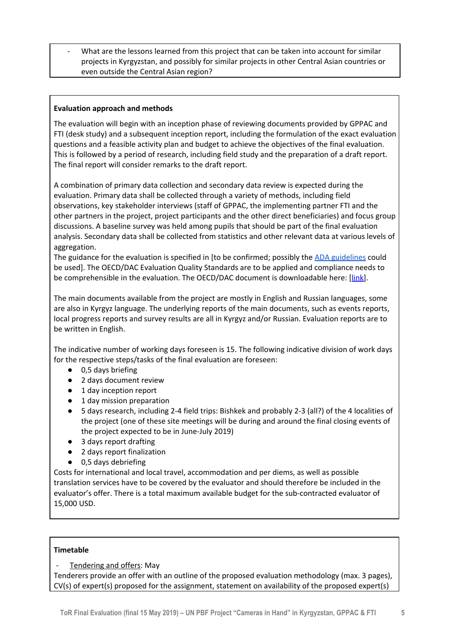What are the lessons learned from this project that can be taken into account for similar projects in Kyrgyzstan, and possibly for similar projects in other Central Asian countries or even outside the Central Asian region?

### **Evaluation approach and methods**

The evaluation will begin with an inception phase of reviewing documents provided by GPPAC and FTI (desk study) and a subsequent inception report, including the formulation of the exact evaluation questions and a feasible activity plan and budget to achieve the objectives of the final evaluation. This is followed by a period of research, including field study and the preparation of a draft report. The final report will consider remarks to the draft report.

A combination of primary data collection and secondary data review is expected during the evaluation. Primary data shall be collected through a variety of methods, including field observations, key stakeholder interviews (staff of GPPAC, the implementing partner FTI and the other partners in the project, project participants and the other direct beneficiaries) and focus group discussions. A baseline survey was held among pupils that should be part of the final evaluation analysis. Secondary data shall be collected from statistics and other relevant data at various levels of aggregation.

The guidance for the evaluation is specified in [to be confirmed; possibly the ADA [guidelines](https://www.entwicklung.at/en/ada/evaluation/) could be used]. The OECD/DAC Evaluation Quality Standards are to be applied and compliance needs to be comprehensible in the evaluation. The OECD/DAC document is downloadable here: [[link\]](http://www.oecd.org/development/evaluation/dcdndep/44798177.pdf).

The main documents available from the project are mostly in English and Russian languages, some are also in Kyrgyz language. The underlying reports of the main documents, such as events reports, local progress reports and survey results are all in Kyrgyz and/or Russian. Evaluation reports are to be written in English.

The indicative number of working days foreseen is 15. The following indicative division of work days for the respective steps/tasks of the final evaluation are foreseen:

- 0,5 days briefing
- 2 days document review
- 1 day inception report
- 1 day mission preparation
- 5 days research, including 2-4 field trips: Bishkek and probably 2-3 (all?) of the 4 localities of the project (one of these site meetings will be during and around the final closing events of the project expected to be in June-July 2019)
- 3 days report drafting
- 2 days report finalization
- 0,5 days debriefing

Costs for international and local travel, accommodation and per diems, as well as possible translation services have to be covered by the evaluator and should therefore be included in the evaluator's offer. There is a total maximum available budget for the sub-contracted evaluator of 15,000 USD.

#### **Timetable**

#### Tendering and offers: May

Tenderers provide an offer with an outline of the proposed evaluation methodology (max. 3 pages), CV(s) of expert(s) proposed for the assignment, statement on availability of the proposed expert(s)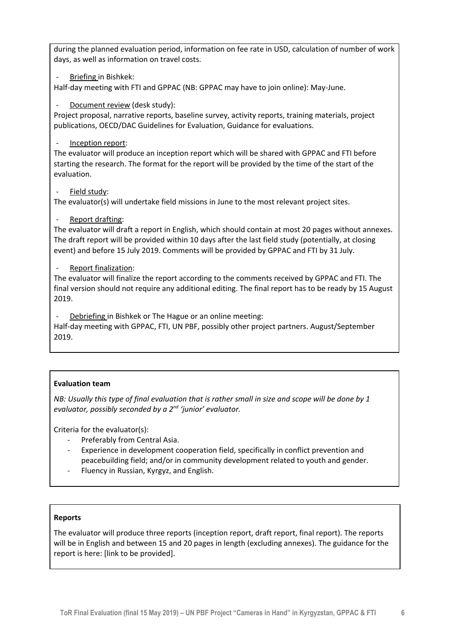during the planned evaluation period, information on fee rate in USD, calculation of number of work days, as well as information on travel costs.

Briefing in Bishkek:

Half-day meeting with FTI and GPPAC (NB: GPPAC may have to join online): May-June.

### Document review (desk study):

Project proposal, narrative reports, baseline survey, activity reports, training materials, project publications, OECD/DAC Guidelines for Evaluation, Guidance for evaluations.

#### Inception report:

The evaluator will produce an inception report which will be shared with GPPAC and FTI before starting the research. The format for the report will be provided by the time of the start of the evaluation.

#### Field study:

The evaluator(s) will undertake field missions in June to the most relevant project sites.

## Report drafting:

The evaluator will draft a report in English, which should contain at most 20 pages without annexes. The draft report will be provided within 10 days after the last field study (potentially, at closing event) and before 15 July 2019. Comments will be provided by GPPAC and FTI by 31 July.

#### Report finalization:

The evaluator will finalize the report according to the comments received by GPPAC and FTI. The final version should not require any additional editing. The final report has to be ready by 15 August 2019.

Debriefing in Bishkek or The Hague or an online meeting:

Half-day meeting with GPPAC, FTI, UN PBF, possibly other project partners. August/September 2019.

## **Evaluation team**

NB: Usually this type of final evaluation that is rather small in size and scope will be done by 1 *evaluator, possibly seconded by a 2 nd 'junior' evaluator.*

Criteria for the evaluator(s):

- Preferably from Central Asia.
- Experience in development cooperation field, specifically in conflict prevention and peacebuilding field; and/or in community development related to youth and gender.
- Fluency in Russian, Kyrgyz, and English.

#### **Reports**

The evaluator will produce three reports (inception report, draft report, final report). The reports will be in English and between 15 and 20 pages in length (excluding annexes). The guidance for the report is here: [link to be provided].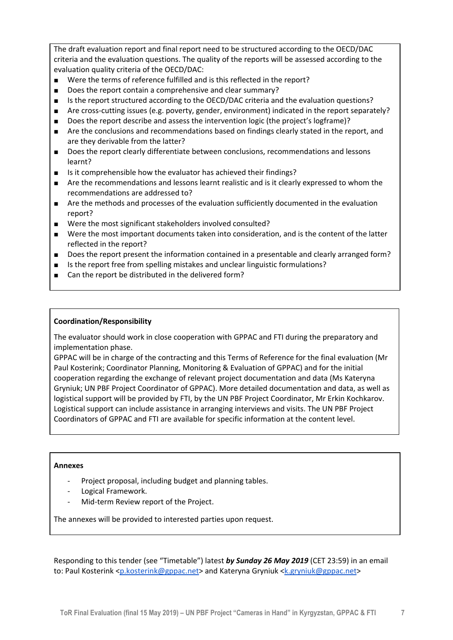The draft evaluation report and final report need to be structured according to the OECD/DAC criteria and the evaluation questions. The quality of the reports will be assessed according to the evaluation quality criteria of the OECD/DAC:

- Were the terms of reference fulfilled and is this reflected in the report?
- Does the report contain a comprehensive and clear summary?
- Is the report structured according to the OECD/DAC criteria and the evaluation questions?
- Are cross-cutting issues (e.g. poverty, gender, environment) indicated in the report separately?
- Does the report describe and assess the intervention logic (the project's logframe)?
- Are the conclusions and recommendations based on findings clearly stated in the report, and are they derivable from the latter?
- Does the report clearly differentiate between conclusions, recommendations and lessons learnt?
- Is it comprehensible how the evaluator has achieved their findings?
- Are the recommendations and lessons learnt realistic and is it clearly expressed to whom the recommendations are addressed to?
- Are the methods and processes of the evaluation sufficiently documented in the evaluation report?
- Were the most significant stakeholders involved consulted?
- Were the most important documents taken into consideration, and is the content of the latter reflected in the report?
- Does the report present the information contained in a presentable and clearly arranged form?
- Is the report free from spelling mistakes and unclear linguistic formulations?
- Can the report be distributed in the delivered form?

#### **Coordination/Responsibility**

The evaluator should work in close cooperation with GPPAC and FTI during the preparatory and implementation phase.

GPPAC will be in charge of the contracting and this Terms of Reference for the final evaluation (Mr Paul Kosterink; Coordinator Planning, Monitoring & Evaluation of GPPAC) and for the initial cooperation regarding the exchange of relevant project documentation and data (Ms Kateryna Gryniuk; UN PBF Project Coordinator of GPPAC). More detailed documentation and data, as well as logistical support will be provided by FTI, by the UN PBF Project Coordinator, Mr Erkin Kochkarov. Logistical support can include assistance in arranging interviews and visits. The UN PBF Project Coordinators of GPPAC and FTI are available for specific information at the content level.

#### **Annexes**

- Project proposal, including budget and planning tables.
- Logical Framework.
- Mid-term Review report of the Project.

The annexes will be provided to interested parties upon request.

Responding to this tender (see "Timetable") latest *by Sunday 26 May 2019* (CET 23:59) in an email to: Paul Kosterink <[p.kosterink@gppac.net>](mailto:p.kosterink@gppac.net) and Kateryna Gryniuk <[k.gryniuk@gppac.net](mailto:k.gryniuk@gppac.net)>